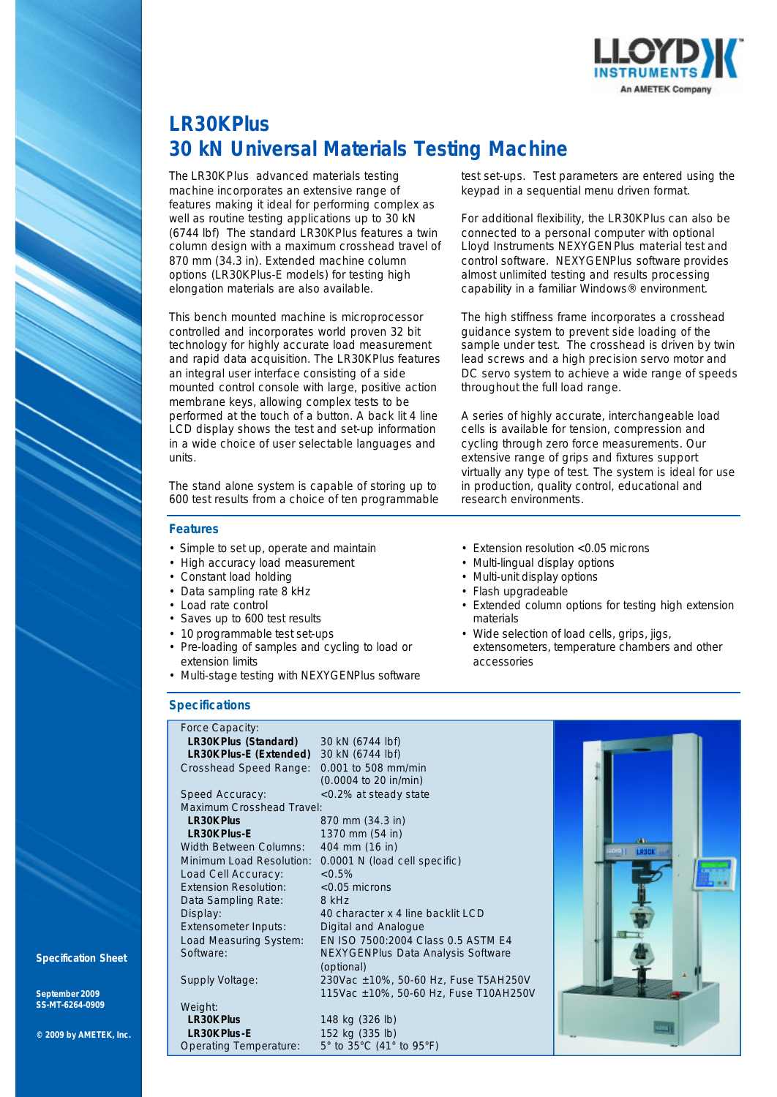

# **LR30K***Plus* **30 kN Universal Materials Testing Machine**

The LR30K*Plus* advanced materials testing machine incorporates an extensive range of features making it ideal for performing complex as well as routine testing applications up to 30 kN (6744 lbf) The standard LR30K*Plus* features a twin column design with a maximum crosshead travel of 870 mm (34.3 in). Extended machine column options (LR30K*Plus-*E models) for testing high elongation materials are also available.

This bench mounted machine is microprocessor controlled and incorporates world proven 32 bit technology for highly accurate load measurement and rapid data acquisition. The LR30K*Plus* features an integral user interface consisting of a side mounted control console with large, positive action membrane keys, allowing complex tests to be performed at the touch of a button. A back lit 4 line LCD display shows the test and set-up information in a wide choice of user selectable languages and units.

The stand alone system is capable of storing up to 600 test results from a choice of ten programmable

### **Features**

- Simple to set up, operate and maintain
- High accuracy load measurement
- Constant load holding
- Data sampling rate 8 kHz
- Load rate control
- Saves up to 600 test results
- 10 programmable test set-ups
- Pre-loading of samples and cycling to load or extension limits
- Multi-stage testing with NEXYGEN*Plus* software

### **Specifications**

Force Capacity: **LR30K Plus (Standard)** 30 kN (6744 lbf)<br>**LR30K Plus-E (Extended)** 30 kN (6744 lbf) **LR30K** Plus-**E** (Extended) Crosshead Speed Range: 0.001 to 508 mm/min (0.0004 to 20 in/min) Speed Accuracy: <0.2% at steady state Maximum Crosshead Travel:<br>LR30K Plus **LR30K Plus** 870 mm (34.3 in)<br> **LR30K Plus-E** 1370 mm (54 in) **1370 mm (54 in)**<br>**404 mm (16 in)** Width Between Columns: Minimum Load Resolution: 0.0001 N (load cell specific) Load Cell Accuracy:  $< 0.5\%$ <br>Extension Resolution:  $< 0.05$  microns Extension Resolution: Data Sampling Rate: 8 kHz Display:  $\frac{3}{40}$  character x 4 line backlit LCD Extensometer Inputs: Digital and Analogue Load Measuring System: EN ISO 7500:2004 Class 0.5 ASTM E4 Software: NEXYGEN*Plus* Data Analysis Software (optional) Supply Voltage: 230Vac ±10%, 50-60 Hz, Fuse T5AH250V 115Vac ±10%, 50-60 Hz, Fuse T10AH250V

Weight:<br>**LR30K Plus LR30K** *Plus* 148 kg (326 lb)<br> **LR30K** *Plus***-E** 152 kg (335 lb) 152 kg (335 lb)<br>5° to 35°C (41° to 95°F) Operating Temperature:

test set-ups. Test parameters are entered using the keypad in a sequential menu driven format.

For additional flexibility, the LR30K*Plus* can also be connected to a personal computer with optional Lloyd Instruments NEXYGEN*Plus* material test and control software. NEXYGEN*Plus* software provides almost unlimited testing and results processing capability in a familiar Windows® environment.

The high stiffness frame incorporates a crosshead guidance system to prevent side loading of the sample under test. The crosshead is driven by twin lead screws and a high precision servo motor and DC servo system to achieve a wide range of speeds throughout the full load range.

A series of highly accurate, interchangeable load cells is available for tension, compression and cycling through zero force measurements. Our extensive range of grips and fixtures support virtually any type of test. The system is ideal for use in production, quality control, educational and research environments.

- Extension resolution < 0.05 microns
- Multi-lingual display options
- Multi-unit display options
- Flash upgradeable
- Extended column options for testing high extension materials
- Wide selection of load cells, grips, jigs, extensometers, temperature chambers and other accessories



**Specification Sheet**

**September 2009 SS-MT-6264-0909**

**© 2009 by AMETEK, Inc.**